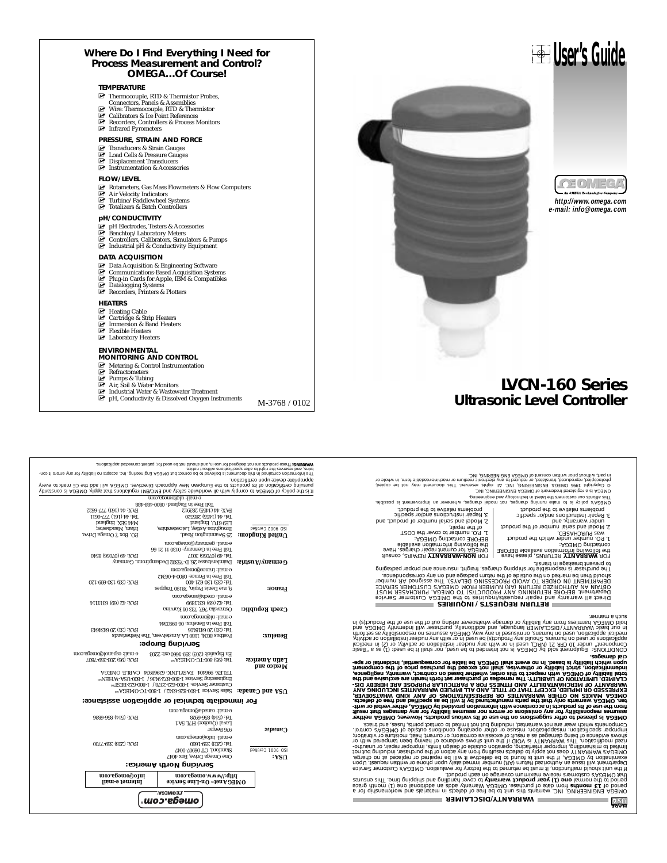#### **Where Do I Find Everything I Need for Process Measurement and Control? OMEGA…Of Course!**

#### **TEMPERATURE**

- **MUSE THERMISTIC PROPERTY THEFT CONDUCT** Thermocouple, RTD & Thermistor Probes,
- 
- Connectors, Panels & Assemblies<br>MU Wire: Thermocouple, RTD & Thermistor<br>Mucalibrators & Ice Point References<br>Mucalibrators, Controllers & Process Monitors
- MUTE: Infrared Devices Point Calibrators & Ice Point Presence Point Presence Pyrometers<br>
Must Pyrometers

#### **PRESSURE, STRAIN AND FORCE**

- 
- ⊠ Transducers & Strain Gauges<br>⊠ Load Cells & Pressure Gauges<br>☑ Displacement Transducers
- $\overline{\mathbb{F}}$  Displacement Transducers<br> $\overline{\mathbb{F}}$  Instrumentation & Accessories

- **FLOW/LEVEL**<br>**IFA** Rotameters, Gas Mass Flowmeters & Flow Computers<br>IFA in Velocity Indicators<br>IFA Turbine/Paddlewheel Systems<br>IFA Totalizers & Batch Controllers
- 
- 

#### **pH/CONDUCTIVITY**

- 
- 
- Ø⊤ pH Electrodes, Testers & Accessories<br>Ø Benchtop/Laboratory Meters<br>Ø Controllers, Calibrators, Simulators & Pumps<br>Ø Industrial pH & Conductivity Equipment

#### **DATA ACQUISITION**

- 
- **MUNICAL Acquisition & Engineering Software**<br>
MUCOMMUNICATE Communications-Based Acquisition Systems<br>
MURICATE Datalogging Systems<br>
MUNICATE Datalogging Systems<br>
MUNICATE Recorders, Printers & Plotters
- 
- 

#### **HEATERS**

- 
- M⊢Heating Cable<br>M⊔ Cartridge & Strip Heaters<br>M⊔ Immersion & Band Heaters<br>M⊔ Laboratory Heaters
- 
- 

- **ENVIRONMENTAL MONITORING AND CONTROL**
- 
- 
- 

FAX: 44 (1455) 283912 FAX: 44 (161) 777-6622

- 
- 

Tel: 44 (1455)<br>2950 - 14 (1459) 285520 Tel: 44 (1451)<br>2950 - 1454 (1459) 285520 Tel: 44 (1451) 777-6611<br>2850 - 14 (1455) 285520 Tel: 44 (1461)<br>25 Department (1461)<br>2850 - 1454 (1461)<br>2850 - 1454 (1461)<br>2850 - 1454 (1461)<br>2

Toll Free in England: 0800-488-488 e-mail: uk@omega.com

(Jinstanos al AD∃MO .Viqqs tadi znoitsiupen IM∃\OM∃ bns (teïse ebiwbhow lis ditw viqmos of AD∃MO to voiloq edt ai ti<br>veve of xham 30 edt bbs lliw AD∃MO .eevitsenid dosonqqA weV nasqonu∃ edt of atsuborq ati to noitssitites language of the monetary part of the company of the person of the company of the company of the state of the s<br>In the state of the monetary part absoluted in the company of the company of the sceeps to literative of the co

Mu Metering & Control Instrumentation<br>Murrent Munics<br>Murrent Stubing<br>Munics Industrial Water & Wastewater Treatment<br>Munics of Hundustrial Water & Wastewater Treatments<br>M-3768 / 0102

**Servicing North America:**

©<br>©®®®®™® **OMEGAnet On-Line Service** SM **Internet e-mail http://www.omega.com info@omega.com**

Tel: (514) 856-6928 FAX: (514) 856-6886

En Español: (203) 359-1660 ext: 2203 e-mail: espanol@omega. **Servicing Europe:**

**For immediate technical or application assistance:**

One Omega Drive, Box 404007-0041<br>20001 Certified American Computary Omega Drive<br>Stam Computer COS 9191-0041<br>391-656 (S02) 919-1616 Drive Pay: (203) 359-1601 e-mail: info@omega.com

e-mail: canada@omega.com

PO3INO :3T8V⊃ #6689629 :XNTIASV:1 #0#966 :X3TELI<br>https://www.ven.com/2010/06-1 /2010/195 \$upasug8up3ing/<br>http://www.ven.com/2010/06-1 /2010/195 }<br>http://www.ven.com/2010/08-1 / 2010/09-1 /3010-2010/08-1 /2010<br>http://www.

Tatin America: 161 (95) 800-TC-OMEGA<sup>8M</sup> <sup>142</sup> (95) 203-359-7807

Postbus 80344<br>10<u>1 Postel Benel Benel (31</u>) 2007 Postbus 804843<br>**Rene International Benelux: Henel American Bene**lux: (31) 20 6434643<br>Toll Face: 06 6431 Tel: (31) 2014 e-mail: nl@omega.com **Czech Republic:** Czech Czech Republic: Czerzech Republic: Czech Republic:  $\frac{1.47 \times 13}{1.4 \times 10^{21} \times 10^{21} \times 10^{21} \times 10^{21} \times 10^{21} \times 10^{21} \times 10^{21} \times 10^{21} \times 10^{21} \times 10^{21} \times 10^{21} \times 10^{21} \times 10^{21} \times 10^{21} \times 1$ e-mail: czech@omega.com 9, 1915 Tel: (33) 130-621-400<br>**France:** Tel: (33) 130-621-400<br>**France:** Tel: (33) 130-621-400 FAX: (33) 130-699-120 Toll Free in France: 0800-4-06342 e-mail: france@omega.com Daimlerstrasse 26, D-75392 Deckenpfronn, Germany **Germany/Austria:** Tel: 49 (07056) 3017 FAX: 49 (07056) 8540 Toll Free in Germany: 0130 11 21 66 e-mail: germany@omega.com Povit Gayno Road, Press (Press), Press 1, Omega Drive, Irlam, Press 1, Omega Drive, Irlam, Manchester, Irlam, M<br>| Broughton Manchester, Irlam, Manchestershire, Irlam, Manchester, Irlam, Irlam, Press, Irlam, Press, Irlam,

**Canada:** Sales Bergar Canada: Capaca Banda Capaca Capaca Banda Capaca Capaca Capaca Capaca Capaca Capaca Capaca Capaca Capaca Capaca Capaca Capaca Capaca Capaca Capaca Capaca Capaca Capaca Capaca Capaca Capaca Capaca Capa

**Mexico and**

**Ultrasonic Level Controller**

Different political process and the main of comparison and the main of the main of the state of the state of the<br>The State of the Main State Park (Software Units (NP) . This case were the state of the state of the conject<br>

2. Model and serial number of the product under warranty, and 3. Repair instructions and/or specific problems relative to the product.

**LVCN-160 Series**

- 
- 1. P.O. number under which the product was PURCHASED,
- LORISCING OMEGA:<br>the following information available BEFORE<br>contacting OMEGA:
- 

o based provided and the process of the process of the control of the process of the process of the process of<br>Based provided that the process of a AMA (2010) LCC NATUS and the process of the process of the process of the<br>

oized" is as (f) :bezu ed it listic ton ,bezu ed of behraint ion ai AO2MO vd blos tranqqiup3 ::2/k0111d/dO20ized" is as (f) :bezu ed it listic ton ,bezu ed of behraint ion ai AO2MO vd blos tranqqiup3 ::2/k0111d/dO20ized" i

him to ladial redeficional conditional and the result of the second positional conditional conditional conditional conditional conditional conditional conditional conditional conditional conditional conditional conditional

s to differentiatow the altitristic term is the previous and of the set of the SMMO and the set of the set of the set of the set of the set of the set of the set of the set of the set of the set of the set of the set of t

**WARRANTY/DISCLAIMER**

**NASA** 

**RETURN REQUESTS / INQUIRIES**

# 2. Model and serial number of product, and 3. Repair instructions and/or specific problems relative to the product.

1. P.O. number to cover the COST of the repair,

BEFORE contacting OMEGA:<br>OMEGA following information available<br>OMEGA for current repairs<br>COMEGA for **DATIVALLY SEPAIRS,** consult<br>OMEGA for current repairs, consult

**http://www.omega.com e-mail: info@omega.com**

 $OE[0]/E[4]$ 

**User's Guide**

®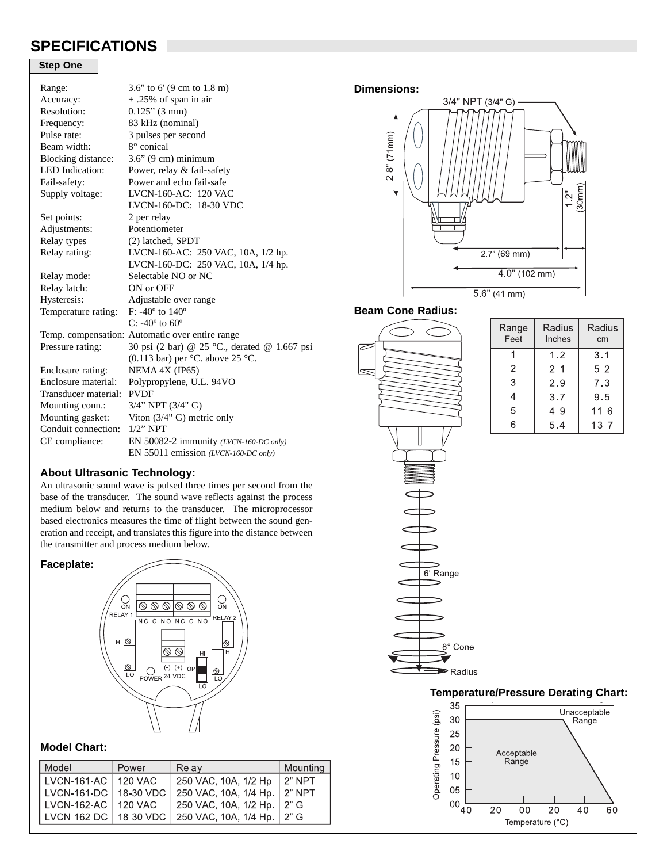# **SPECIFICATIONS**

## **Step One**

| Range:                 | 3.6" to 6' $(9 \text{ cm to } 1.8 \text{ m})$   |  |  |
|------------------------|-------------------------------------------------|--|--|
| Accuracy:              | $\pm$ .25% of span in air                       |  |  |
| Resolution:            | $0.125$ " (3 mm)                                |  |  |
| Frequency:             | 83 kHz (nominal)                                |  |  |
| Pulse rate:            | 3 pulses per second                             |  |  |
| Beam width:            | 8° conical                                      |  |  |
| Blocking distance:     | $3.6$ " (9 cm) minimum                          |  |  |
| <b>LED</b> Indication: | Power, relay & fail-safety                      |  |  |
| Fail-safety:           | Power and echo fail-safe                        |  |  |
| Supply voltage:        | LVCN-160-AC: 120 VAC                            |  |  |
|                        | LVCN-160-DC: 18-30 VDC                          |  |  |
| Set points:            | 2 per relay                                     |  |  |
| Adjustments:           | Potentiometer                                   |  |  |
| Relay types            | (2) latched, SPDT                               |  |  |
| Relay rating:          | LVCN-160-AC: 250 VAC, 10A, 1/2 hp.              |  |  |
|                        | LVCN-160-DC: 250 VAC, 10A, 1/4 hp.              |  |  |
| Relay mode:            | Selectable NO or NC                             |  |  |
| Relay latch:           | ON or OFF                                       |  |  |
| Hysteresis:            | Adjustable over range                           |  |  |
| Temperature rating:    | $F: -40^{\circ}$ to $140^{\circ}$               |  |  |
|                        | C: $-40^{\circ}$ to $60^{\circ}$                |  |  |
|                        | Temp. compensation: Automatic over entire range |  |  |
| Pressure rating:       | 30 psi (2 bar) @ 25 °C., derated @ 1.667 psi    |  |  |
|                        | (0.113 bar) per $°C$ . above 25 °C.             |  |  |
| Enclosure rating:      | NEMA 4X (IP65)                                  |  |  |
| Enclosure material:    | Polypropylene, U.L. 94VO                        |  |  |
| Transducer material:   | <b>PVDF</b>                                     |  |  |
| Mounting conn.:        | $3/4$ " NPT $(3/4"$ G)                          |  |  |
| Mounting gasket:       | Viton $(3/4"$ G) metric only                    |  |  |
| Conduit connection:    | $1/2$ " NPT                                     |  |  |
| CE compliance:         | EN 50082-2 immunity (LVCN-160-DC only)          |  |  |
|                        | EN 55011 emission (LVCN-160-DC only)            |  |  |
|                        |                                                 |  |  |

### **About Ultrasonic Technology:**

An ultrasonic sound wave is pulsed three times per second from the base of the transducer. The sound wave reflects against the process medium below and returns to the transducer. The microprocessor based electronics measures the time of flight between the sound generation and receipt, and translates this figure into the distance between the transmitter and process medium below.

#### **Faceplate:**



## **Model Chart:**

| Model                   | Power     | Relay                        | Mounting |
|-------------------------|-----------|------------------------------|----------|
| LVCN-161-AC   120 VAC   |           | 250 VAC, 10A, 1/2 Hp.        | 2" NPT   |
| LVCN-161-DC   18-30 VDC |           | 250 VAC, 10A, 1/4 Hp. 2" NPT |          |
| LVCN-162-AC ∣ 120 VAC   |           | 250 VAC, 10A, 1/2 Hp         | $2"$ G   |
| LVCN-162-DC             | 18-30 VDC | 250 VAC, 10A, 1/4 Hp.        | $2"$ G   |

#### **Dimensions:**



## **Beam Cone Radius:**



## T **Temperature/Pressure Derating Chart:**

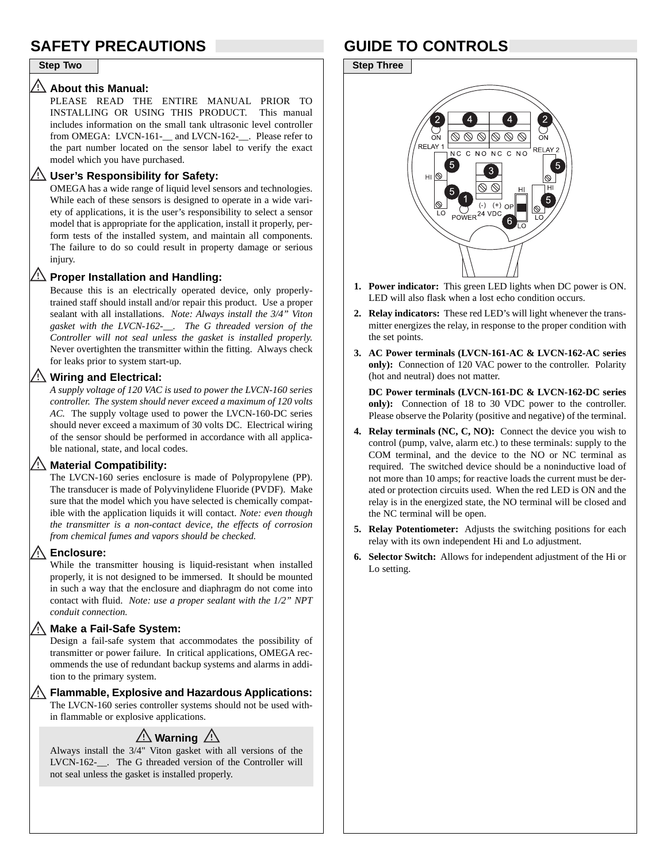# **SAFETY PRECAUTIONS GUIDE TO CONTROLS**

#### **Step Two Step Three**

#### $\overline{\mathbb{V}}$ **About this Manual:**

PLEASE READ THE ENTIRE MANUAL PRIOR TO INSTALLING OR USING THIS PRODUCT. This manual includes information on the small tank ultrasonic level controller from OMEGA: LVCN-161-\_\_ and LVCN-162-\_\_. Please refer to the part number located on the sensor label to verify the exact model which you have purchased.

### **User's Responsibility for Safety:**

OMEGA has a wide range of liquid level sensors and technologies. While each of these sensors is designed to operate in a wide variety of applications, it is the user's responsibility to select a sensor model that is appropriate for the application, install it properly, perform tests of the installed system, and maintain all components. The failure to do so could result in property damage or serious injury.

### **Proper Installation and Handling:**

Because this is an electrically operated device, only properlytrained staff should install and/or repair this product. Use a proper sealant with all installations. *Note: Always install the 3/4" Viton gasket with the LVCN-162-\_\_. The G threaded version of the Controller will not seal unless the gasket is installed properly.* Never overtighten the transmitter within the fitting. Always check for leaks prior to system start-up.

### **Wiring and Electrical:**

*A supply voltage of 120 VAC is used to power the LVCN-160 series controller. The system should never exceed a maximum of 120 volts AC.* The supply voltage used to power the LVCN-160-DC series should never exceed a maximum of 30 volts DC. Electrical wiring of the sensor should be performed in accordance with all applicable national, state, and local codes.

#### **Material Compatibility:**

The LVCN-160 series enclosure is made of Polypropylene (PP). The transducer is made of Polyvinylidene Fluoride (PVDF). Make sure that the model which you have selected is chemically compatible with the application liquids it will contact. *Note: even though the transmitter is a non-contact device, the effects of corrosion from chemical fumes and vapors should be checked.* 

### **Enclosure:**

While the transmitter housing is liquid-resistant when installed properly, it is not designed to be immersed. It should be mounted in such a way that the enclosure and diaphragm do not come into contact with fluid. *Note: use a proper sealant with the 1/2" NPT conduit connection.* 

#### Vi/ **Make a Fail-Safe System:**

Design a fail-safe system that accommodates the possibility of transmitter or power failure. In critical applications, OMEGA recommends the use of redundant backup systems and alarms in addition to the primary system.

## **Flammable, Explosive and Hazardous Applications:**

The LVCN-160 series controller systems should not be used within flammable or explosive applications.

# $\mathbb{A}$  Warning  $\mathbb{A}$

Always install the 3/4" Viton gasket with all versions of the LVCN-162-\_\_. The G threaded version of the Controller will not seal unless the gasket is installed properly.



- **1. Power indicator:** This green LED lights when DC power is ON. LED will also flask when a lost echo condition occurs.
- **2. Relay indicators:** These red LED's will light whenever the transmitter energizes the relay, in response to the proper condition with the set points.
- **3. AC Power terminals (LVCN-161-AC & LVCN-162-AC series only):** Connection of 120 VAC power to the controller. Polarity (hot and neutral) does not matter.

**DC Power terminals (LVCN-161-DC & LVCN-162-DC series only):** Connection of 18 to 30 VDC power to the controller. Please observe the Polarity (positive and negative) of the terminal.

- **4. Relay terminals (NC, C, NO):** Connect the device you wish to control (pump, valve, alarm etc.) to these terminals: supply to the COM terminal, and the device to the NO or NC terminal as required. The switched device should be a noninductive load of not more than 10 amps; for reactive loads the current must be derated or protection circuits used. When the red LED is ON and the relay is in the energized state, the NO terminal will be closed and the NC terminal will be open.
- **5. Relay Potentiometer:** Adjusts the switching positions for each relay with its own independent Hi and Lo adjustment.
- **6. Selector Switch:** Allows for independent adjustment of the Hi or Lo setting.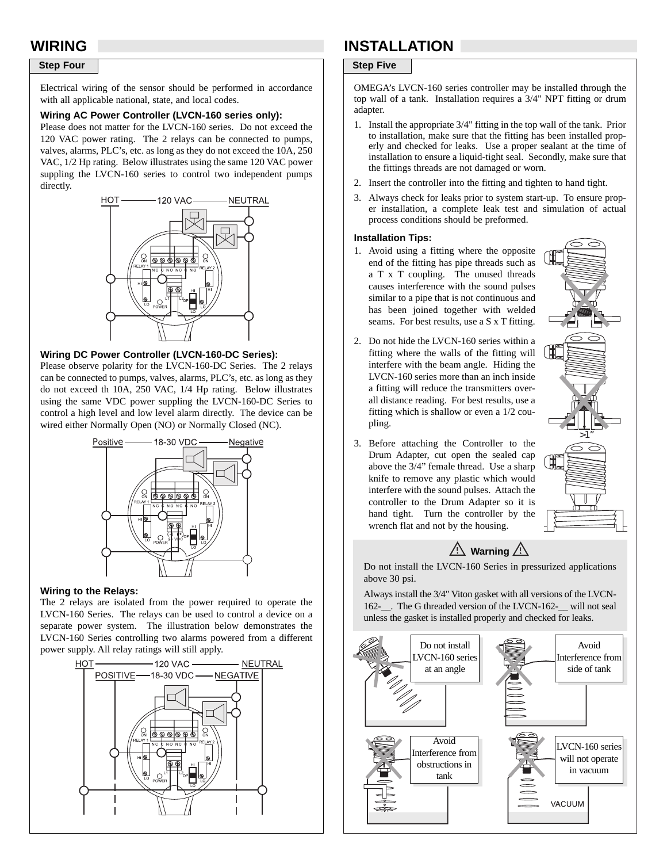### **Step Four** Step Five

Electrical wiring of the sensor should be performed in accordance with all applicable national, state, and local codes.

#### **Wiring AC Power Controller (LVCN-160 series only):**

Please does not matter for the LVCN-160 series. Do not exceed the 120 VAC power rating. The 2 relays can be connected to pumps, valves, alarms, PLC's, etc. as long as they do not exceed the 10A, 250 VAC, 1/2 Hp rating. Below illustrates using the same 120 VAC power suppling the LVCN-160 series to control two independent pumps directly.



#### **Wiring DC Power Controller (LVCN-160-DC Series):**

Please observe polarity for the LVCN-160-DC Series. The 2 relays can be connected to pumps, valves, alarms, PLC's, etc. as long as they do not exceed th 10A, 250 VAC, 1/4 Hp rating. Below illustrates using the same VDC power suppling the LVCN-160-DC Series to control a high level and low level alarm directly. The device can be wired either Normally Open (NO) or Normally Closed (NC).



#### **Wiring to the Relays:**

The 2 relays are isolated from the power required to operate the LVCN-160 Series. The relays can be used to control a device on a separate power system. The illustration below demonstrates the LVCN-160 Series controlling two alarms powered from a different power supply. All relay ratings will still apply.



# **WIRING INSTALLATION**

OMEGA's LVCN-160 series controller may be installed through the top wall of a tank. Installation requires a 3/4" NPT fitting or drum adapter.

- 1. Install the appropriate 3/4" fitting in the top wall of the tank. Prior to installation, make sure that the fitting has been installed properly and checked for leaks. Use a proper sealant at the time of installation to ensure a liquid-tight seal. Secondly, make sure that the fittings threads are not damaged or worn.
- 2. Insert the controller into the fitting and tighten to hand tight.
- 3. Always check for leaks prior to system start-up. To ensure proper installation, a complete leak test and simulation of actual process conditions should be preformed.

#### **Installation Tips:**

- 1. Avoid using a fitting where the opposite end of the fitting has pipe threads such as a T x T coupling. The unused threads causes interference with the sound pulses similar to a pipe that is not continuous and has been joined together with welded seams. For best results, use a S x T fitting.
- 2. Do not hide the LVCN-160 series within a fitting where the walls of the fitting will interfere with the beam angle. Hiding the LVCN-160 series more than an inch inside a fitting will reduce the transmitters overall distance reading. For best results, use a fitting which is shallow or even a 1/2 coupling.
- 3. Before attaching the Controller to the Drum Adapter, cut open the sealed cap above the 3/4" female thread. Use a sharp knife to remove any plastic which would interfere with the sound pulses. Attach the controller to the Drum Adapter so it is hand tight. Turn the controller by the wrench flat and not by the housing.





Do not install the LVCN-160 Series in pressurized applications above 30 psi.

Always install the 3/4" Viton gasket with all versions of the LVCN-162-\_\_. The G threaded version of the LVCN-162-\_\_ will not seal unless the gasket is installed properly and checked for leaks.

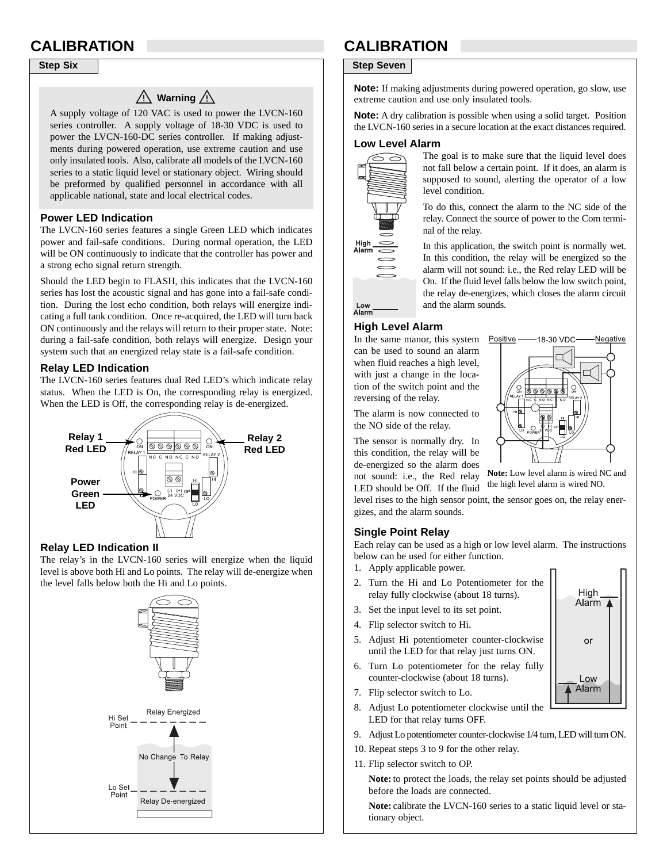## $\bigwedge$  Warning  $\bigwedge$

A supply voltage of 120 VAC is used to power the LVCN-160 series controller. A supply voltage of 18-30 VDC is used to power the LVCN-160-DC series controller. If making adjustments during powered operation, use extreme caution and use only insulated tools. Also, calibrate all models of the LVCN-160 series to a static liquid level or stationary object. Wiring should be preformed by qualified personnel in accordance with all applicable national, state and local electrical codes.

#### **Power LED Indication**

The LVCN-160 series features a single Green LED which indicates power and fail-safe conditions. During normal operation, the LED will be ON continuously to indicate that the controller has power and a strong echo signal return strength.

Should the LED begin to FLASH, this indicates that the LVCN-160 series has lost the acoustic signal and has gone into a fail-safe condition. During the lost echo condition, both relays will energize indicating a full tank condition. Once re-acquired, the LED will turn back ON continuously and the relays will return to their proper state. Note: during a fail-safe condition, both relays will energize. Design your system such that an energized relay state is a fail-safe condition.

### **Relay LED Indication**

The LVCN-160 series features dual Red LED's which indicate relay status. When the LED is On, the corresponding relay is energized. When the LED is Off, the corresponding relay is de-energized.



### **Relay LED Indication II**

The relay's in the LVCN-160 series will energize when the liquid level is above both Hi and Lo points. The relay will de-energize when the level falls below both the Hi and Lo points.



# **CALIBRATION CALIBRATION**

### **Step Six** Step Seven

**Note:** If making adjustments during powered operation, go slow, use extreme caution and use only insulated tools.

**Note:** A dry calibration is possible when using a solid target. Position the LVCN-160 series in a secure location at the exact distances required.

#### **Low Level Alarm**



The goal is to make sure that the liquid level does not fall below a certain point. If it does, an alarm is supposed to sound, alerting the operator of a low level condition.

To do this, connect the alarm to the NC side of the relay. Connect the source of power to the Com terminal of the relay.

In this application, the switch point is normally wet. In this condition, the relay will be energized so the alarm will not sound: i.e., the Red relay LED will be On. If the fluid level falls below the low switch point, the relay de-energizes, which closes the alarm circuit and the alarm sounds.

## Alarm

Low

#### **High Level Alarm**

In the same manor, this system can be used to sound an alarm when fluid reaches a high level, with just a change in the location of the switch point and the reversing of the relay.

The alarm is now connected to the NO side of the relay.

The sensor is normally dry. In this condition, the relay will be de-energized so the alarm does not sound: i.e., the Red relay LED should be Off. If the fluid

level rises to the high sensor point, the sensor goes on, the relay energizes, and the alarm sounds.

### **Single Point Relay**

Each relay can be used as a high or low level alarm. The instructions below can be used for either function.

- 1. Apply applicable power.
- 2. Turn the Hi and Lo Potentiometer for the relay fully clockwise (about 18 turns).
- 3. Set the input level to its set point.
- 4. Flip selector switch to Hi.
- 5. Adjust Hi potentiometer counter-clockwise until the LED for that relay just turns ON.
- 6. Turn Lo potentiometer for the relay fully counter-clockwise (about 18 turns).
- 7. Flip selector switch to Lo.
- 8. Adjust Lo potentiometer clockwise until the LED for that relay turns OFF.
- 9. Adjust Lo potentiometer counter-clockwise 1/4 turn, LED will turn ON.
- 10. Repeat steps 3 to 9 for the other relay.
- 11. Flip selector switch to OP.

**Note:** to protect the loads, the relay set points should be adjusted before the loads are connected.

**Note:** calibrate the LVCN-160 series to a static liquid level or stationary object.



**Note:** Low level alarm is wired NC and the high level alarm is wired NO.

> High Alarm<sub>4</sub>

> > or

Low Alarm